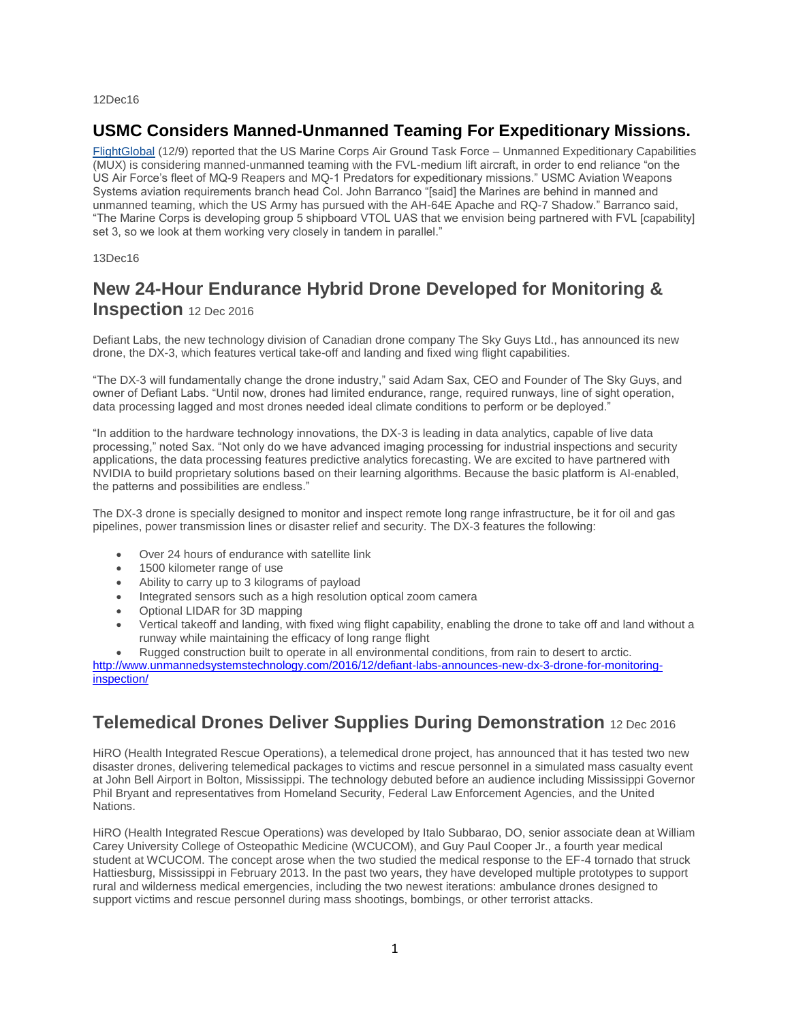12Dec16

## **USMC Considers Manned-Unmanned Teaming For Expeditionary Missions.**

[FlightGlobal](http://mailview.bulletinmedia.com/mailview.aspx?m=2016121201aiaa&r=2980706-f9a3&l=008-6f5&t=c) (12/9) reported that the US Marine Corps Air Ground Task Force – Unmanned Expeditionary Capabilities (MUX) is considering manned-unmanned teaming with the FVL-medium lift aircraft, in order to end reliance "on the US Air Force's fleet of MQ-9 Reapers and MQ-1 Predators for expeditionary missions." USMC Aviation Weapons Systems aviation requirements branch head Col. John Barranco "[said] the Marines are behind in manned and unmanned teaming, which the US Army has pursued with the AH-64E Apache and RQ-7 Shadow." Barranco said, "The Marine Corps is developing group 5 shipboard VTOL UAS that we envision being partnered with FVL [capability] set 3, so we look at them working very closely in tandem in parallel."

#### 13Dec16

# **New 24-Hour Endurance Hybrid Drone Developed for Monitoring & Inspection** 12 Dec 2016

Defiant Labs, the new technology division of Canadian drone company The Sky Guys Ltd., has announced its new drone, the DX-3, which features vertical take-off and landing and fixed wing flight capabilities.

"The DX-3 will fundamentally change the drone industry," said Adam Sax, CEO and Founder of The Sky Guys, and owner of Defiant Labs. "Until now, drones had limited endurance, range, required runways, line of sight operation, data processing lagged and most drones needed ideal climate conditions to perform or be deployed."

"In addition to the hardware technology innovations, the DX-3 is leading in data analytics, capable of live data processing," noted Sax. "Not only do we have advanced imaging processing for industrial inspections and security applications, the data processing features predictive analytics forecasting. We are excited to have partnered with NVIDIA to build proprietary solutions based on their learning algorithms. Because the basic platform is AI-enabled, the patterns and possibilities are endless."

The DX-3 drone is specially designed to monitor and inspect remote long range infrastructure, be it for oil and gas pipelines, power transmission lines or disaster relief and security. The DX-3 features the following:

- Over 24 hours of endurance with satellite link
- 1500 kilometer range of use
- Ability to carry up to 3 kilograms of payload
- Integrated sensors such as a high resolution optical zoom camera
- Optional LIDAR for 3D mapping
- Vertical takeoff and landing, with fixed wing flight capability, enabling the drone to take off and land without a runway while maintaining the efficacy of long range flight
- Rugged construction built to operate in all environmental conditions, from rain to desert to arctic.

[http://www.unmannedsystemstechnology.com/2016/12/defiant-labs-announces-new-dx-3-drone-for-monitoring](http://www.unmannedsystemstechnology.com/2016/12/defiant-labs-announces-new-dx-3-drone-for-monitoring-inspection/)[inspection/](http://www.unmannedsystemstechnology.com/2016/12/defiant-labs-announces-new-dx-3-drone-for-monitoring-inspection/)

# **Telemedical Drones Deliver Supplies During Demonstration** 12 Dec 2016

HiRO (Health Integrated Rescue Operations), a telemedical drone project, has announced that it has tested two new disaster drones, delivering telemedical packages to victims and rescue personnel in a simulated mass casualty event at John Bell Airport in Bolton, Mississippi. The technology debuted before an audience including Mississippi Governor Phil Bryant and representatives from Homeland Security, Federal Law Enforcement Agencies, and the United Nations.

HiRO (Health Integrated Rescue Operations) was developed by Italo Subbarao, DO, senior associate dean at William Carey University College of Osteopathic Medicine (WCUCOM), and Guy Paul Cooper Jr., a fourth year medical student at WCUCOM. The concept arose when the two studied the medical response to the EF-4 tornado that struck Hattiesburg, Mississippi in February 2013. In the past two years, they have developed multiple prototypes to support rural and wilderness medical emergencies, including the two newest iterations: ambulance drones designed to support victims and rescue personnel during mass shootings, bombings, or other terrorist attacks.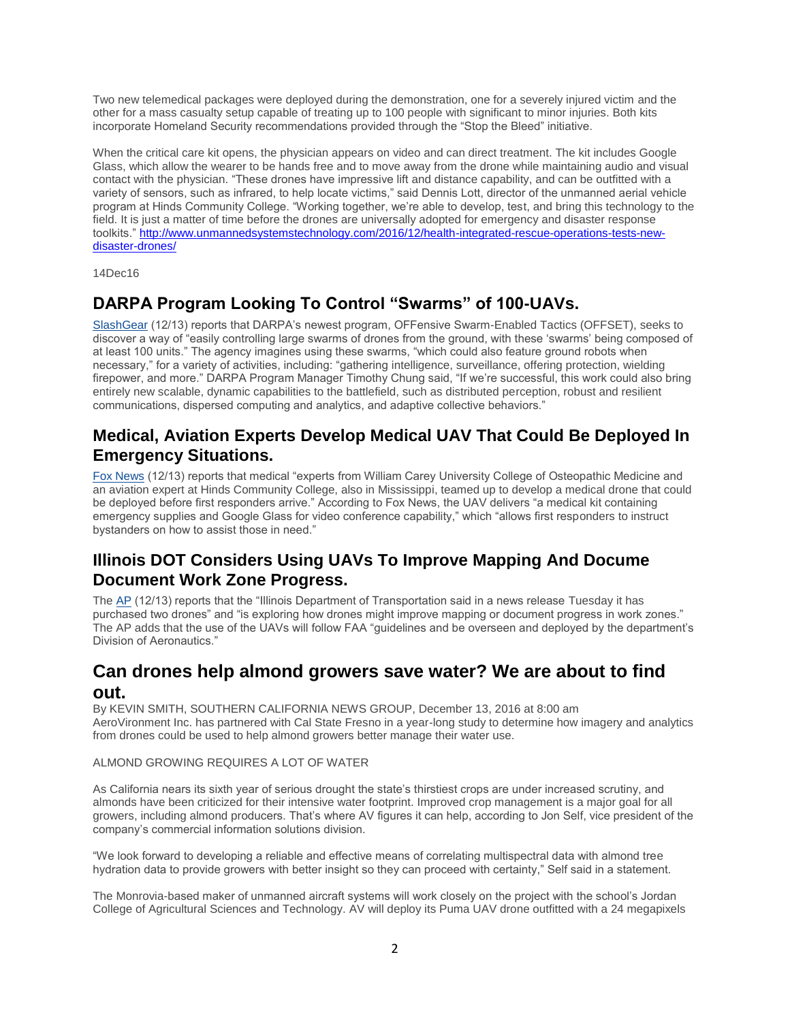Two new telemedical packages were deployed during the demonstration, one for a severely injured victim and the other for a mass casualty setup capable of treating up to 100 people with significant to minor injuries. Both kits incorporate Homeland Security recommendations provided through the "Stop the Bleed" initiative.

When the critical care kit opens, the physician appears on video and can direct treatment. The kit includes Google Glass, which allow the wearer to be hands free and to move away from the drone while maintaining audio and visual contact with the physician. "These drones have impressive lift and distance capability, and can be outfitted with a variety of sensors, such as infrared, to help locate victims," said Dennis Lott, director of the unmanned aerial vehicle program at Hinds Community College. "Working together, we're able to develop, test, and bring this technology to the field. It is just a matter of time before the drones are universally adopted for emergency and disaster response toolkits." [http://www.unmannedsystemstechnology.com/2016/12/health-integrated-rescue-operations-tests-new](http://www.unmannedsystemstechnology.com/2016/12/health-integrated-rescue-operations-tests-new-disaster-drones/)[disaster-drones/](http://www.unmannedsystemstechnology.com/2016/12/health-integrated-rescue-operations-tests-new-disaster-drones/)

14Dec16

## **DARPA Program Looking To Control "Swarms" of 100-UAVs.**

[SlashGear](http://mailview.bulletinmedia.com/mailview.aspx?m=2016121401aiaa&r=2980706-8fcc&l=006-ecc&t=c) (12/13) reports that DARPA's newest program, OFFensive Swarm-Enabled Tactics (OFFSET), seeks to discover a way of "easily controlling large swarms of drones from the ground, with these 'swarms' being composed of at least 100 units." The agency imagines using these swarms, "which could also feature ground robots when necessary," for a variety of activities, including: "gathering intelligence, surveillance, offering protection, wielding firepower, and more." DARPA Program Manager Timothy Chung said, "If we're successful, this work could also bring entirely new scalable, dynamic capabilities to the battlefield, such as distributed perception, robust and resilient communications, dispersed computing and analytics, and adaptive collective behaviors."

## **Medical, Aviation Experts Develop Medical UAV That Could Be Deployed In Emergency Situations.**

[Fox News](http://mailview.bulletinmedia.com/mailview.aspx?m=2016121401aiaa&r=2980706-8fcc&l=007-4c4&t=c) (12/13) reports that medical "experts from William Carey University College of Osteopathic Medicine and an aviation expert at Hinds Community College, also in Mississippi, teamed up to develop a medical drone that could be deployed before first responders arrive." According to Fox News, the UAV delivers "a medical kit containing emergency supplies and Google Glass for video conference capability," which "allows first responders to instruct bystanders on how to assist those in need."

## **Illinois DOT Considers Using UAVs To Improve Mapping And Docume Document Work Zone Progress.**

The [AP](http://mailview.bulletinmedia.com/mailview.aspx?m=2016121401aiaa&r=2980706-8fcc&l=01f-2ee&t=c) (12/13) reports that the "Illinois Department of Transportation said in a news release Tuesday it has purchased two drones" and "is exploring how drones might improve mapping or document progress in work zones." The AP adds that the use of the UAVs will follow FAA "guidelines and be overseen and deployed by the department's Division of Aeronautics."

## **Can drones help almond growers save water? We are about to find out.**

By KEVIN SMITH, SOUTHERN CALIFORNIA NEWS GROUP, December 13, 2016 at 8:00 am AeroVironment Inc. has partnered with Cal State Fresno in a year-long study to determine how imagery and analytics from drones could be used to help almond growers better manage their water use.

### ALMOND GROWING REQUIRES A LOT OF WATER

As California nears its sixth year of serious drought the state's thirstiest crops are under increased scrutiny, and almonds have been criticized for their intensive water footprint. Improved crop management is a major goal for all growers, including almond producers. That's where AV figures it can help, according to Jon Self, vice president of the company's commercial information solutions division.

"We look forward to developing a reliable and effective means of correlating multispectral data with almond tree hydration data to provide growers with better insight so they can proceed with certainty," Self said in a statement.

The Monrovia-based maker of unmanned aircraft systems will work closely on the project with the school's Jordan College of Agricultural Sciences and Technology. AV will deploy its Puma UAV drone outfitted with a 24 megapixels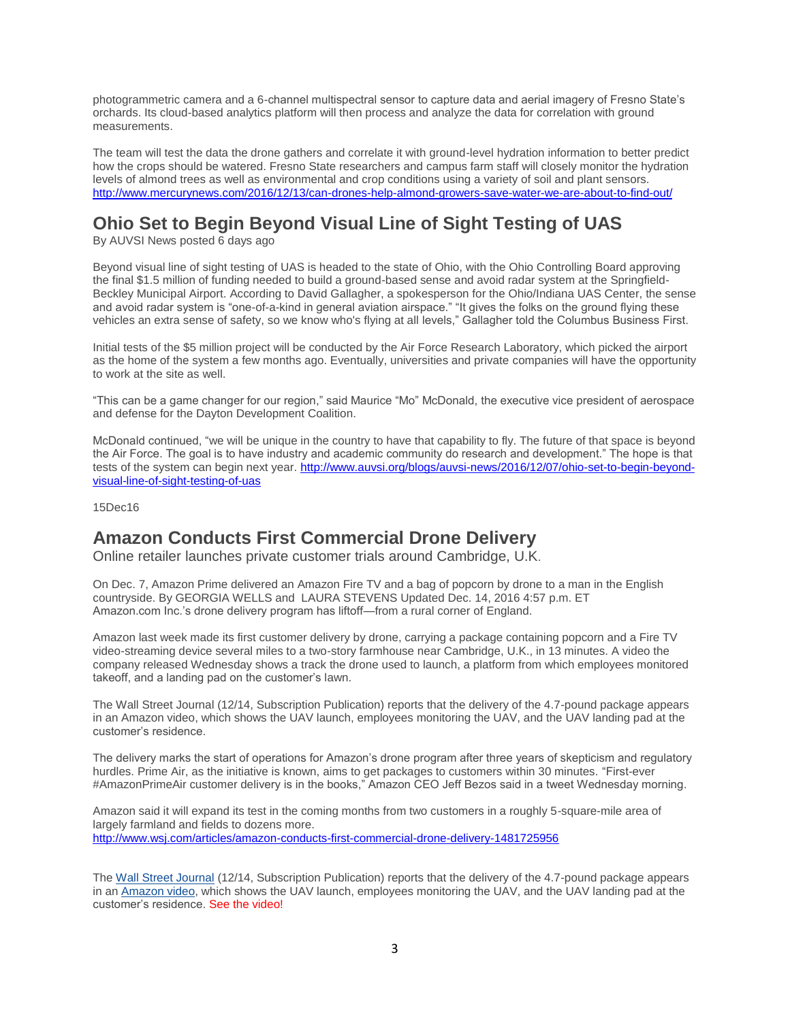photogrammetric camera and a 6-channel multispectral sensor to capture data and aerial imagery of Fresno State's orchards. Its cloud-based analytics platform will then process and analyze the data for correlation with ground measurements.

The team will test the data the drone gathers and correlate it with ground-level hydration information to better predict how the crops should be watered. Fresno State researchers and campus farm staff will closely monitor the hydration levels of almond trees as well as environmental and crop conditions using a variety of soil and plant sensors. <http://www.mercurynews.com/2016/12/13/can-drones-help-almond-growers-save-water-we-are-about-to-find-out/>

# **Ohio Set to Begin Beyond Visual Line of Sight Testing of UAS**

By AUVSI News posted 6 days ago

Beyond visual line of sight testing of UAS is headed to the state of Ohio, with the Ohio Controlling Board approving the final \$1.5 million of funding needed to build a ground-based sense and avoid radar system at the Springfield-Beckley Municipal Airport. According to David Gallagher, a spokesperson for the Ohio/Indiana UAS Center, the sense and avoid radar system is "one-of-a-kind in general aviation airspace." "It gives the folks on the ground flying these vehicles an extra sense of safety, so we know who's flying at all levels," Gallagher told the Columbus Business First.

Initial tests of the \$5 million project will be conducted by the Air Force Research Laboratory, which picked the airport as the home of the system a few months ago. Eventually, universities and private companies will have the opportunity to work at the site as well.

"This can be a game changer for our region," said Maurice "Mo" McDonald, the executive vice president of aerospace and defense for the Dayton Development Coalition.

McDonald continued, "we will be unique in the country to have that capability to fly. The future of that space is beyond the Air Force. The goal is to have industry and academic community do research and development." The hope is that tests of the system can begin next year. [http://www.auvsi.org/blogs/auvsi-news/2016/12/07/ohio-set-to-begin-beyond](http://www.auvsi.org/blogs/auvsi-news/2016/12/07/ohio-set-to-begin-beyond-visual-line-of-sight-testing-of-uas)[visual-line-of-sight-testing-of-uas](http://www.auvsi.org/blogs/auvsi-news/2016/12/07/ohio-set-to-begin-beyond-visual-line-of-sight-testing-of-uas)

15Dec16

# **Amazon Conducts First Commercial Drone Delivery**

Online retailer launches private customer trials around Cambridge, U.K.

On Dec. 7, Amazon Prime delivered an Amazon Fire TV and a bag of popcorn by drone to a man in the English countryside. By GEORGIA WELLS and LAURA STEVENS Updated Dec. 14, 2016 4:57 p.m. ET Amazon.com Inc.'s drone delivery program has liftoff—from a rural corner of England.

Amazon last week made its first customer delivery by drone, carrying a package containing popcorn and a Fire TV video-streaming device several miles to a two-story farmhouse near Cambridge, U.K., in 13 minutes. A video the company released Wednesday shows a track the drone used to launch, a platform from which employees monitored takeoff, and a landing pad on the customer's lawn.

The Wall Street Journal (12/14, Subscription Publication) reports that the delivery of the 4.7-pound package appears in an Amazon video, which shows the UAV launch, employees monitoring the UAV, and the UAV landing pad at the customer's residence.

The delivery marks the start of operations for Amazon's drone program after three years of skepticism and regulatory hurdles. Prime Air, as the initiative is known, aims to get packages to customers within 30 minutes. "First-ever #AmazonPrimeAir customer delivery is in the books," Amazon CEO Jeff Bezos said in a tweet Wednesday morning.

Amazon said it will expand its test in the coming months from two customers in a roughly 5-square-mile area of largely farmland and fields to dozens more. <http://www.wsj.com/articles/amazon-conducts-first-commercial-drone-delivery-1481725956>

The [Wall Street Journal](http://mailview.bulletinmedia.com/mailview.aspx?m=2016121501aiaa&r=2980706-ade1&l=003-6e6&t=c) (12/14, Subscription Publication) reports that the delivery of the 4.7-pound package appears in an [Amazon video,](http://mailview.bulletinmedia.com/mailview.aspx?m=2016121501aiaa&r=2980706-ade1&l=004-2e6&t=c) which shows the UAV launch, employees monitoring the UAV, and the UAV landing pad at the customer's residence. See the video!